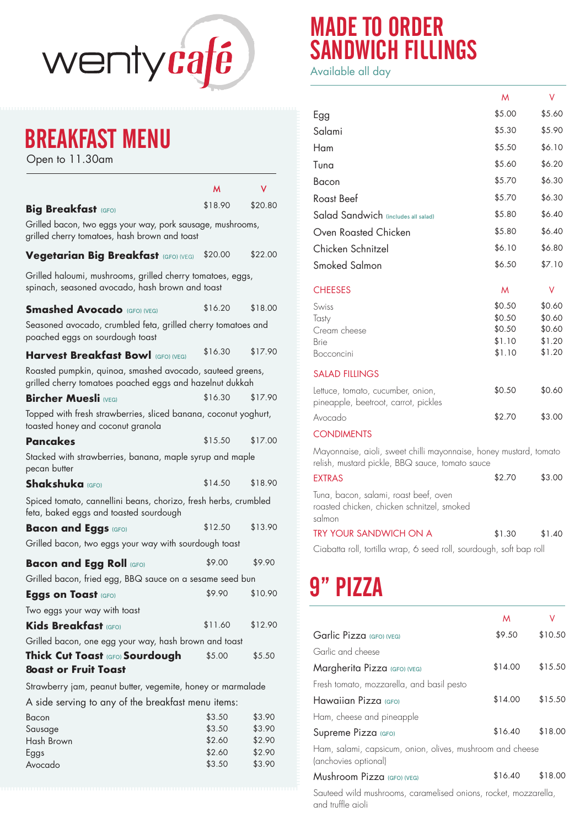

## BREAKFAST MENU

Open to 11.30am

|                                                                                                                       | м       | v       |
|-----------------------------------------------------------------------------------------------------------------------|---------|---------|
| <b>Big Breakfast (GFO)</b>                                                                                            | \$18.90 | \$20.80 |
| Grilled bacon, two eggs your way, pork sausage, mushrooms,<br>grilled cherry tomatoes, hash brown and toast           |         |         |
| Vegetarian Big Breakfast (GFO) (VEG)                                                                                  | \$20.00 | \$22.00 |
| Grilled haloumi, mushrooms, grilled cherry tomatoes, eggs,<br>spinach, seasoned avocado, hash brown and toast         |         |         |
| <b>Smashed Avocado</b> (GFO) (VEG)                                                                                    | \$16.20 | \$18.00 |
| Seasoned avocado, crumbled feta, grilled cherry tomatoes and<br>poached eggs on sourdough toast                       |         |         |
| <b>Harvest Breakfast Bowl (GFO) (VEG)</b>                                                                             | \$16.30 | \$17.90 |
| Roasted pumpkin, quinoa, smashed avocado, sauteed greens,<br>grilled cherry tomatoes poached eggs and hazelnut dukkah |         |         |
| <b>Bircher Muesli</b> (VEG)                                                                                           | \$16.30 | \$17.90 |
| Topped with fresh strawberries, sliced banana, coconut yoghurt,<br>toasted honey and coconut granola                  |         |         |
| <b>Pancakes</b>                                                                                                       | \$15.50 | \$17.00 |
| Stacked with strawberries, banana, maple syrup and maple<br>pecan butter                                              |         |         |
| <b>Shakshuka</b> (GFO)                                                                                                | \$14.50 | \$18.90 |
| Spiced tomato, cannellini beans, chorizo, fresh herbs, crumbled<br>feta, baked eggs and toasted sourdough             |         |         |
| <b>Bacon and Eggs (GFO)</b>                                                                                           | \$12.50 | \$13.90 |
| Grilled bacon, two eggs your way with sourdough toast                                                                 |         |         |
| <b>Bacon and Egg Roll (GFO)</b>                                                                                       | \$9.00  | \$9.90  |
| Grilled bacon, fried egg, BBQ sauce on a sesame seed bun                                                              |         |         |
| <b>Eggs on Toast (GFO)</b>                                                                                            | \$9.90  | \$10.90 |
| Two eggs your way with toast                                                                                          |         |         |
| Kids Breakfast (GFO)                                                                                                  | \$11.60 | \$12.90 |
| Grilled bacon, one egg your way, hash brown and toast                                                                 |         |         |
| Thick Cut Toast (GFO) Sourdough                                                                                       | \$5.00  | \$5.50  |
| <b>Loast or Fruit Toast</b>                                                                                           |         |         |
| Strawberry jam, peanut butter, vegemite, honey or marmalade                                                           |         |         |
| A side serving to any of the breakfast menu items:                                                                    |         |         |
| Bacon                                                                                                                 | \$3.50  | \$3.90  |
| Sausage                                                                                                               | \$3.50  | \$3.90  |
| Hash Brown                                                                                                            | \$2.60  | \$2.90  |
| Eggs                                                                                                                  | \$2.60  | \$2.90  |
| Avocado                                                                                                               | \$3.50  | \$3.90  |

## MADE TO ORDER SANDWICH FILLINGS

Available all day

|                                                                                                                      | M                | ٧                |
|----------------------------------------------------------------------------------------------------------------------|------------------|------------------|
| Egg                                                                                                                  | \$5.00           | \$5.60           |
| Salami                                                                                                               | \$5.30           | \$5.90           |
| Ham                                                                                                                  | \$5.50           | \$6.10           |
| Tuna                                                                                                                 | \$5.60           | \$6.20           |
| Bacon                                                                                                                | \$5.70           | \$6.30           |
| <b>Roast Beef</b>                                                                                                    | \$5.70           | \$6.30           |
| Salad Sandwich (includes all salad)                                                                                  | \$5.80           | \$6.40           |
| Oven Roasted Chicken                                                                                                 | \$5.80           | \$6.40           |
| Chicken Schnitzel                                                                                                    | \$6.10           | \$6.80           |
| Smoked Salmon                                                                                                        | \$6.50           | \$7.10           |
| <b>CHEESES</b>                                                                                                       | M                | V                |
| Swiss                                                                                                                | \$0.50           | \$0.60           |
| Tasty                                                                                                                | \$0.50           | \$0.60           |
| Cream cheese<br>Brie                                                                                                 | \$0.50<br>\$1.10 | \$0.60<br>\$1.20 |
| Bocconcini                                                                                                           | \$1.10           | \$1.20           |
| <b>SALAD FILLINGS</b>                                                                                                |                  |                  |
| Lettuce, tomato, cucumber, onion,<br>pineapple, beetroot, carrot, pickles                                            | \$0.50           | \$0.60           |
| Avocado                                                                                                              | \$2.70           | \$3.00           |
| <b>CONDIMENTS</b>                                                                                                    |                  |                  |
| Mayonnaise, aioli, sweet chilli mayonnaise, honey mustard, tomato<br>relish, mustard pickle, BBQ sauce, tomato sauce |                  |                  |
| <b>EXTRAS</b>                                                                                                        | \$2.70           | \$3.00           |
| Tuna, bacon, salami, roast beef, oven<br>roasted chicken, chicken schnitzel, smoked<br>salmon                        |                  |                  |
| TRY YOUR SANDWICH ON A                                                                                               | \$1.30           | \$1.40           |
| Ciabatta roll, tortilla wrap, 6 seed roll, sourdough, soft bap roll                                                  |                  |                  |
| 9" PIZZA                                                                                                             |                  |                  |
|                                                                                                                      |                  |                  |
|                                                                                                                      | M                | V                |
| Garlic Pizza (GFO) (VEG)                                                                                             | \$9.50           | \$10.50          |
| Garlic and cheese                                                                                                    |                  |                  |
| Margherita Pizza (GFO) (VEG)                                                                                         | \$14.00          | \$15.50          |
| Fresh tomato, mozzarella, and basil pesto                                                                            |                  |                  |
| Hawaiian Pizza (GFO)                                                                                                 | \$14.00          | \$15.50          |
| Ham, cheese and pineapple                                                                                            |                  |                  |

Supreme Pizza (GFO) 6 316.40 \$18.00

Ham, salami, capsicum, onion, olives, mushroom and cheese (anchovies optional)

## Mushroom Pizza (GFO) (VEG) \$16.40 \$18.00

Sauteed wild mushrooms, caramelised onions, rocket, mozzarella, and truffle aioli